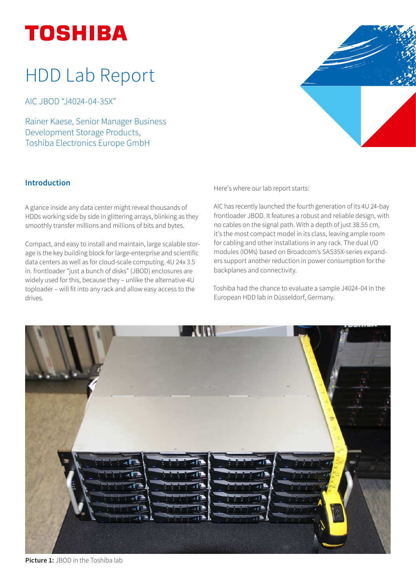# HDD Lab Report

AIC JBOD "J4024-04-35X"

Rainer Kaese, Senior Manager Business Development Storage Products, Toshiba Electronics Europe GmbH



# Introduction

A glance inside any data center might reveal thousands of HDDs working side by side in glittering arrays, blinking as they smoothly transfer millions and millions of bits and bytes.

Compact, and easy to install and maintain, large scalable storage is the key building block for large-enterprise and scientific data centers as well as for cloud-scale computing. 4U 24x 3.5 in. frontloader "just a bunch of disks" (JBOD) enclosures are widely used for this, because they – unlike the alternative 4U toploader – will fit into any rack and allow easy access to the drives.

Here's where our lab report starts:

AIC has recently launched the fourth generation of its 4U 24-bay frontloader JBOD. It features a robust and reliable design, with no cables on the signal path. With a depth of just 38.55 cm, it's the most compact model in its class, leaving ample room for cabling and other installations in any rack. The dual I/O modules (IOMs) based on Broadcom's SAS35X-series expanders support another reduction in power consumption for the backplanes and connectivity.

Toshiba had the chance to evaluate a sample J4024-04 in the European HDD lab in Düsseldorf, Germany.



Picture 1: JBOD in the Toshiba lab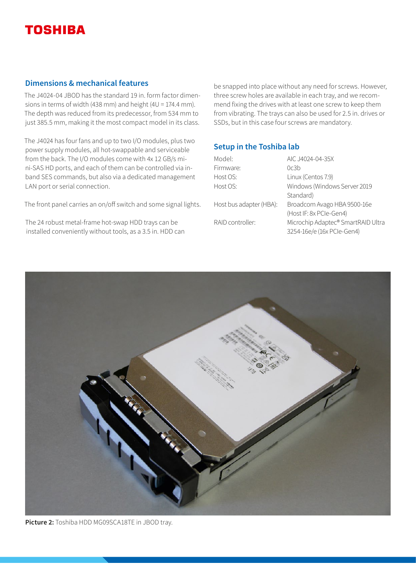## Dimensions & mechanical features

The J4024-04 JBOD has the standard 19 in. form factor dimensions in terms of width (438 mm) and height (4U = 174.4 mm). The depth was reduced from its predecessor, from 534 mm to just 385.5 mm, making it the most compact model in its class.

The J4024 has four fans and up to two I/O modules, plus two power supply modules, all hot-swappable and serviceable from the back. The I/O modules come with 4x 12 GB/s mini-SAS HD ports, and each of them can be controlled via inband SES commands, but also via a dedicated management LAN port or serial connection.

The front panel carries an on/off switch and some signal lights.

The 24 robust metal-frame hot-swap HDD trays can be installed conveniently without tools, as a 3.5 in. HDD can be snapped into place without any need for screws. However, three screw holes are available in each tray, and we recommend fixing the drives with at least one screw to keep them from vibrating. The trays can also be used for 2.5 in. drives or SSDs, but in this case four screws are mandatory.

# Setup in the Toshiba lab

| Model:                  | AIC.J4024-04-35X                   |
|-------------------------|------------------------------------|
| Firmware:               | 0c3b                               |
| Host OS:                | Linux (Centos 7.9)                 |
| Host OS:                | Windows (Windows Server 2019       |
|                         | Standard)                          |
| Host bus adapter (HBA): | Broadcom Avago HBA 9500-16e        |
|                         | (Host IF: 8x PCIe-Gen4)            |
| RAID controller:        | Microchip Adaptec® SmartRAID Ultra |
|                         | 3254-16e/e (16x PCIe-Gen4)         |



Picture 2: Toshiba HDD MG09SCA18TE in JBOD tray.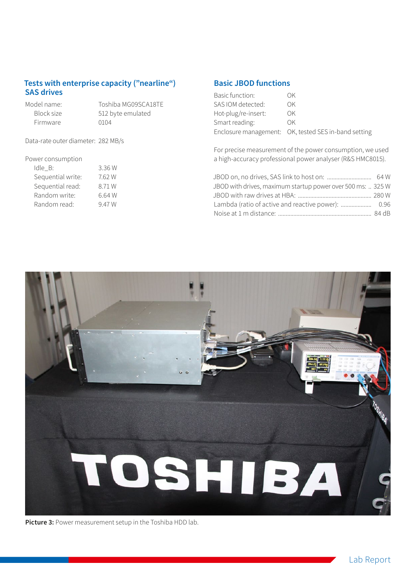# Tests with enterprise capacity ("nearline") SAS drives

Firmware 0104

Model name: Toshiba MG09SCA18TE<br>Block size 512 byte emulated 512 byte emulated

Data-rate outer diameter: 282 MB/s

### Power consumption

| Sequential write:<br>Sequential read:<br>Random write: | Idle B:      | 3.36 W |
|--------------------------------------------------------|--------------|--------|
|                                                        |              | 7.62 W |
|                                                        |              | 8.71 W |
|                                                        |              | 6.64 W |
|                                                        | Random read: | 947W   |

# Basic JBOD functions

| Basic function:     | ΩK                                                   |
|---------------------|------------------------------------------------------|
| SAS IOM detected:   | OK                                                   |
| Hot-plug/re-insert: | OK.                                                  |
| Smart reading:      | OK.                                                  |
|                     | Enclosure management: OK, tested SES in-band setting |

For precise measurement of the power consumption, we used a high-accuracy professional power analyser (R&S HMC8015).

| JBOD with drives, maximum startup power over 500 ms:  325 W |  |
|-------------------------------------------------------------|--|
|                                                             |  |
|                                                             |  |
|                                                             |  |



Picture 3: Power measurement setup in the Toshiba HDD lab.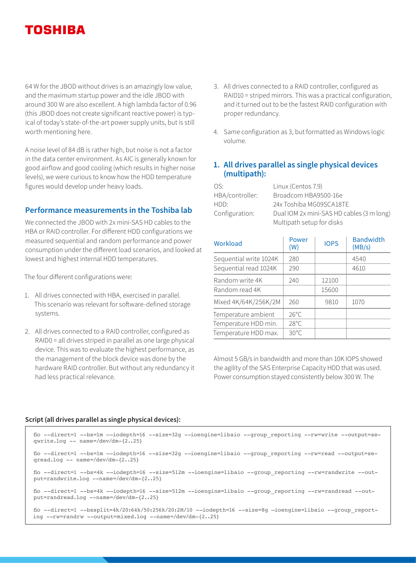64 W for the JBOD without drives is an amazingly low value, and the maximum startup power and the idle JBOD with around 300 W are also excellent. A high lambda factor of 0.96 (this JBOD does not create significant reactive power) is typical of today's state-of-the-art power supply units, but is still worth mentioning here.

A noise level of 84 dB is rather high, but noise is not a factor in the data center environment. As AIC is generally known for good airflow and good cooling (which results in higher noise levels), we were curious to know how the HDD temperature figures would develop under heavy loads.

## Performance measurements in the Toshiba lab

We connected the JBOD with 2x mini-SAS HD cables to the HBA or RAID controller. For different HDD configurations we measured sequential and random performance and power consumption under the different load scenarios, and looked at lowest and highest internal HDD temperatures.

The four different configurations were:

- 1. All drives connected with HBA, exercised in parallel. This scenario was relevant for software-defined storage systems.
- 2. All drives connected to a RAID controller, configured as RAID0 = all drives striped in parallel as one large physical device. This was to evaluate the highest performance, as the management of the block device was done by the hardware RAID controller. But without any redundancy it had less practical relevance.
- 3. All drives connected to a RAID controller, configured as RAID10 = striped mirrors. This was a practical configuration, and it turned out to be the fastest RAID configuration with proper redundancy.
- 4. Same configuration as 3, but formatted as Windows logic volume.

# 1. All drives parallel as single physical devices (multipath):

| OS.             | Linux (Centos 7.9)                        |
|-----------------|-------------------------------------------|
| HBA/controller: | Broadcom HBA9500-16e                      |
| HDD:            | 24x Toshiba MG09SCA18TE                   |
| Configuration:  | Dual IOM 2x mini-SAS HD cables (3 m long) |
|                 | Multipath setup for disks                 |
|                 |                                           |

| Workload               | Power<br>(W)   | <b>IOPS</b> | <b>Bandwidth</b><br>(MB/s) |
|------------------------|----------------|-------------|----------------------------|
| Sequential write 1024K | 280            |             | 4540                       |
| Sequential read 1024K  | 290            |             | 4610                       |
| Random write 4K        | 240            | 12100       |                            |
| Random read 4K         |                | 15600       |                            |
| Mixed 4K/64K/256K/2M   | 260            | 9810        | 1070                       |
| Temperature ambient    | $26^{\circ}$ C |             |                            |
| Temperature HDD min.   | $28^{\circ}$ C |             |                            |
| Temperature HDD max.   | $30^{\circ}$ C |             |                            |

Almost 5 GB/s in bandwidth and more than 10K IOPS showed the agility of the SAS Enterprise Capacity HDD that was used. Power consumption stayed consistently below 300 W. The

#### Script (all drives parallel as single physical devices):

| fio --direct=1 --bs=1m --iodepth=16 --size=32q --ioengine=libaio --group reporting --rw=write --output=se-<br>qwrite.log $--$ name=/dev/dm- $\{225\}$                    |
|--------------------------------------------------------------------------------------------------------------------------------------------------------------------------|
| fio --direct=1 --bs=1m --iodepth=16 --size=32q --ioengine=libaio --group reporting --rw=read --output=se-<br>$qread.log -- name=\/dev/dm-\{225\}$                        |
| fio --direct=1 --bs=4k --iodepth=16 --size=512m --ioengine=libaio --group reporting --rw=randwrite --out-<br>$put=randwrite.log --name=/dev/dm-{225}$                    |
| fio --direct=1 --bs=4k --iodepth=16 --size=512m --ioengine=libaio --group reporting --rw=randread --out-<br>$put=randread.log --name=/dev/dm-{225}$                      |
| fio --direct=1 --bssplit=4k/20:64k/50:256k/20:2M/10 --iodepth=16 --size=8q -ioengine=libaio --group report-<br>$ing$ --rw=randrw --output=mixed.log --name=/dev/dm-{225} |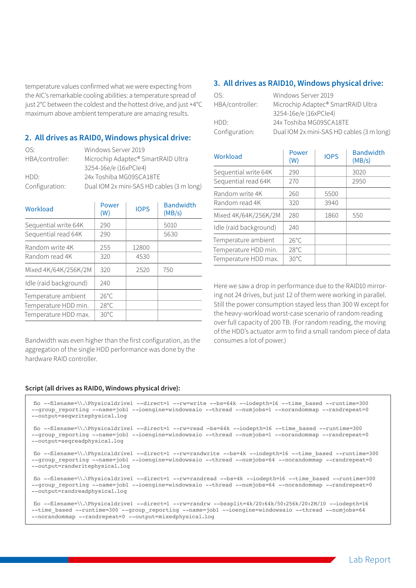temperature values confirmed what we were expecting from the AIC's remarkable cooling abilities: a temperature spread of just 2°C between the coldest and the hottest drive, and just +4°C maximum above ambient temperature are amazing results.

### 2. All drives as RAID0, Windows physical drive:

| OS.             | Windows Server 2019                       |
|-----------------|-------------------------------------------|
| HBA/controller: | Microchip Adaptec® SmartRAID Ultra        |
|                 | 3254-16e/e (16xPCle4)                     |
| HDD:            | 24x Toshiba MG09SCA18TE                   |
| Configuration:  | Dual IOM 2x mini-SAS HD cables (3 m long) |

| Workload               | Power<br>(W)   | <b>IOPS</b> | <b>Bandwidth</b><br>(MB/s) |
|------------------------|----------------|-------------|----------------------------|
| Sequential write 64K   | 290            |             | 5010                       |
| Sequential read 64K    | 290            |             | 5630                       |
| Random write 4K        | 255            | 12800       |                            |
| Random read 4K         | 320            | 4530        |                            |
| Mixed 4K/64K/256K/2M   | 320            | 2520        | 750                        |
| Idle (raid background) | 240            |             |                            |
| Temperature ambient    | $26^{\circ}$ C |             |                            |
| Temperature HDD min.   | $28^{\circ}$ C |             |                            |
| Temperature HDD max.   | $30^{\circ}$ C |             |                            |

Bandwidth was even higher than the first configuration, as the aggregation of the single HDD performance was done by the hardware RAID controller.

#### Script (all drives as RAID0, Windows physical drive):

#### 3. All drives as RAID10, Windows physical drive:

| OS.             | Windows Server 2019                       |
|-----------------|-------------------------------------------|
| HBA/controller: | Microchip Adaptec® SmartRAID Ultra        |
|                 | 3254-16e/e (16xPCle4)                     |
| HDD:            | 24x Toshiba MG09SCA18TE                   |
| Configuration:  | Dual IOM 2x mini-SAS HD cables (3 m long) |
|                 |                                           |

| Workload               | Power<br>(W)   | <b>IOPS</b> | <b>Bandwidth</b><br>(MB/s) |
|------------------------|----------------|-------------|----------------------------|
| Sequential write 64K   | 290            |             | 3020                       |
| Sequential read 64K    | 270            |             | 2950                       |
| Random write 4K        | 260            | 5500        |                            |
| Random read 4K         | 320            | 3940        |                            |
| Mixed 4K/64K/256K/2M   | 280            | 1860        | 550                        |
| Idle (raid background) | 740            |             |                            |
| Temperature ambient    | $26^{\circ}$ C |             |                            |
| Temperature HDD min.   | $28^{\circ}$ C |             |                            |
| Temperature HDD max.   | $30^{\circ}$ C |             |                            |

Here we saw a drop in performance due to the RAID10 mirroring not 24 drives, but just 12 of them were working in parallel. Still the power consumption stayed less than 300 W except for the heavy-workload worst-case scenario of random reading over full capacity of 200 TB. (For random reading, the moving of the HDD's actuator arm to find a small random piece of data consumes a lot of power.)

fio --filename=\\.\Physicaldrive1 --direct=1 --rw=write --bs=64k --iodepth=16 --time\_based --runtime=300 --group reporting --name=job1 --ioengine=windowsaio --thread --numjobs=1 --norandommap --randrepeat=0 --output=seqwritephysical.log

fio --filename=\\.\Physicaldrive1 --direct=1 --rw=read –bs=64k --iodepth=16 --time\_based --runtime=300 --group\_reporting --name=job1 --ioengine=windowsaio --thread --numjobs=1 --norandommap --randrepeat=0 --output=seqreadphysical.log

fio --filename=\\.\Physicaldrive1 --direct=1 --rw=randwrite --bs=4k --iodepth=16 --time\_based --runtime=300 --group\_reporting --name=job1 --ioengine=windowsaio --thread --numjobs=64 --norandommap --randrepeat=0 --output=randwritephysical.log

fio --filename=\\.\Physicaldrive1 --direct=1 --rw=randread --bs=4k --iodepth=16 --time\_based --runtime=300 --group\_reporting --name=job1 --ioengine=windowsaio --thread --numjobs=64 --norandommap --randrepeat=0 --output=randreadphysical.log

```
fio --filename=\\.\Physicaldrive1 --direct=1 --rw=randrw --bssplit=4k/20:64k/50:256k/20:2M/10 --iodepth=16 
--time_based --runtime=300 --group_reporting --name=job1 --ioengine=windowsaio --thread --numjobs=64 
--norandommap --randrepeat=0 --output=mixedphysical.log
```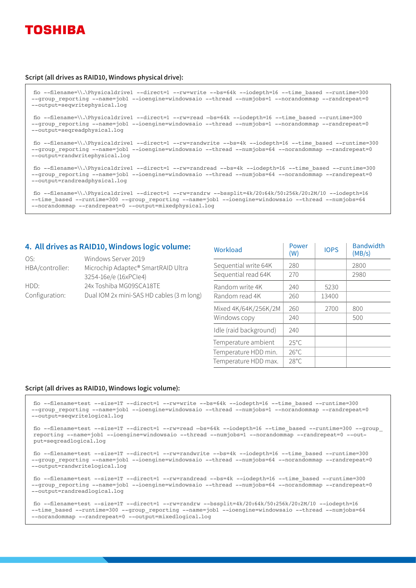

#### Script (all drives as RAID10, Windows physical drive):

fio --filename=\\.\Physicaldrive1 --direct=1 --rw=write --bs=64k --iodepth=16 --time\_based --runtime=300 --group\_reporting --name=job1 --ioengine=windowsaio --thread --numjobs=1 --norandommap --randrepeat=0 --output=seqwritephysical.log fio --filename=\\.\Physicaldrive1 --direct=1 --rw=read –bs=64k --iodepth=16 --time\_based --runtime=300 --group reporting --name=job1 --ioengine=windowsaio --thread --numjobs=1 --norandommap --randrepeat=0 --output=seqreadphysical.log fio --filename=\\.\Physicaldrive1 --direct=1 --rw=randwrite --bs=4k --iodepth=16 --time\_based --runtime=300 --group reporting --name=job1 --ioengine=windowsaio --thread --numjobs=64 --norandommap --randrepeat=0 --output=randwritephysical.log fio --filename=\\.\Physicaldrive1 --direct=1 --rw=randread --bs=4k --iodepth=16 --time\_based --runtime=300 --group reporting --name=job1 --ioengine=windowsaio --thread --numjobs=64 --norandommap --randrepeat=0 --output=randreadphysical.log

```
fio --filename=\\.\Physicaldrive1 --direct=1 --rw=randrw --bssplit=4k/20:64k/50:256k/20:2M/10 --iodepth=16 
--time_based --runtime=300 --group_reporting --name=job1 --ioengine=windowsaio --thread --numjobs=64
--norandommap --randrepeat=0 --output=mixedphysical.log
```
#### 4. All drives as RAID10, Windows logic volume:

| OS.             | Windows Server 2019                       |
|-----------------|-------------------------------------------|
| HBA/controller: | Microchip Adaptec® SmartRAID Ultra        |
|                 | 3254-16e/e (16xPCle4)                     |
| HDD:            | 24x Toshiba MG09SCA18TE                   |
| Configuration:  | Dual IOM 2x mini-SAS HD cables (3 m long) |
|                 |                                           |

| Workload               | Power<br>(W)   | <b>IOPS</b> | <b>Bandwidth</b><br>(MB/s) |
|------------------------|----------------|-------------|----------------------------|
| Sequential write 64K   | 280            |             | 2800                       |
| Sequential read 64K    | 270            |             | 2980                       |
| Random write 4K        | 240            | 5230        |                            |
| Random read 4K         | 260            | 13400       |                            |
| Mixed 4K/64K/256K/2M   | 260            | 2700        | 800                        |
| Windows copy           | 240            |             | 500                        |
| Idle (raid background) | 240            |             |                            |
| Temperature ambient    | $25^{\circ}$ C |             |                            |
| Temperature HDD min.   | $26^{\circ}$ C |             |                            |
| Temperature HDD max.   | $28^{\circ}$ C |             |                            |

#### Script (all drives as RAID10, Windows logic volume):

fio --filename=test --size=1T --direct=1 --rw=write --bs=64k --iodepth=16 --time\_based --runtime=300 --group reporting --name=job1 --ioengine=windowsaio --thread --numjobs=1 --norandommap --randrepeat=0 --output=seqwritelogical.log

fio --filename=test --size=1T --direct=1 --rw=read –bs=64k --iodepth=16 --time\_based --runtime=300 --group\_ reporting --name=job1 --ioengine=windowsaio --thread --numjobs=1 --norandommap --randrepeat=0 --output=seqreadlogical.log

fio --filename=test --size=1T --direct=1 --rw=randwrite --bs=4k --iodepth=16 --time\_based --runtime=300 --group\_reporting --name=job1 --ioengine=windowsaio --thread --numjobs=64 --norandommap --randrepeat=0 --output=randwritelogical.log

fio --filename=test --size=1T --direct=1 --rw=randread --bs=4k --iodepth=16 --time\_based --runtime=300 --group\_reporting --name=job1 --ioengine=windowsaio --thread --numjobs=64 --norandommap --randrepeat=0 --output=randreadlogical.log

fio --filename=test --size=1T --direct=1 --rw=randrw --bssplit=4k/20:64k/50:256k/20:2M/10 --iodepth=16 --time\_based --runtime=300 --group\_reporting --name=job1 --ioengine=windowsaio --thread --numjobs=64 --norandommap --randrepeat=0 --output=mixedlogical.log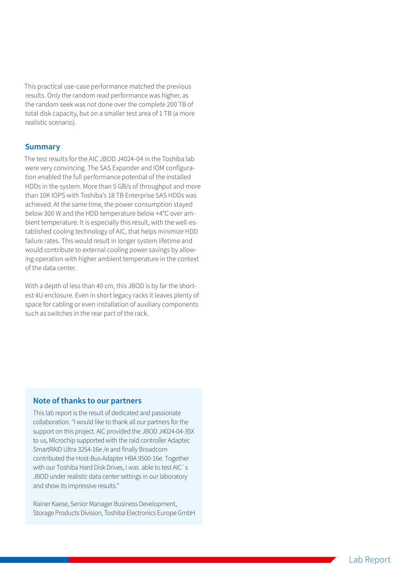This practical use-case performance matched the previous results. Only the random read performance was higher, as the random seek was not done over the complete 200 TB of total disk capacity, but on a smaller test area of 1 TB (a more realistic scenario).

#### **Summary**

The test results for the AIC JBOD J4024-04 in the Toshiba lab were very convincing. The SAS Expander and IOM configuration enabled the full performance potential of the installed HDDs in the system. More than 5 GB/s of throughput and more than 10K IOPS with Toshiba's 18 TB Enterprise SAS HDDs was achieved. At the same time, the power consumption stayed below 300 W and the HDD temperature below +4°C over ambient temperature. It is especially this result, with the well-established cooling technology of AIC, that helps minimize HDD failure rates. This would result in longer system lifetime and would contribute to external cooling power savings by allowing operation with higher ambient temperature in the context of the data center.

With a depth of less than 40 cm, this JBOD is by far the shortest 4U enclosure. Even in short legacy racks it leaves plenty of space for cabling or even installation of auxiliary components such as switches in the rear part of the rack.

## Note of thanks to our partners

This lab report is the result of dedicated and passionate collaboration. "I would like to thank all our partners for the support on this project. AIC provided the JBOD J4024-04-35X to us, Microchip supported with the raid controller Adaptec SmartRAID Ultra 3254-16e /e and finally Broadcom contributed the Host-Bus-Adapter HBA 9500-16e. Together with our Toshiba Hard Disk Drives, I was able to test AIC`s JBOD under realistic data center settings in our laboratory and show its impressive results."

Rainer Kaese, Senior Manager Business Development, Storage Products Division, Toshiba Electronics Europe GmbH